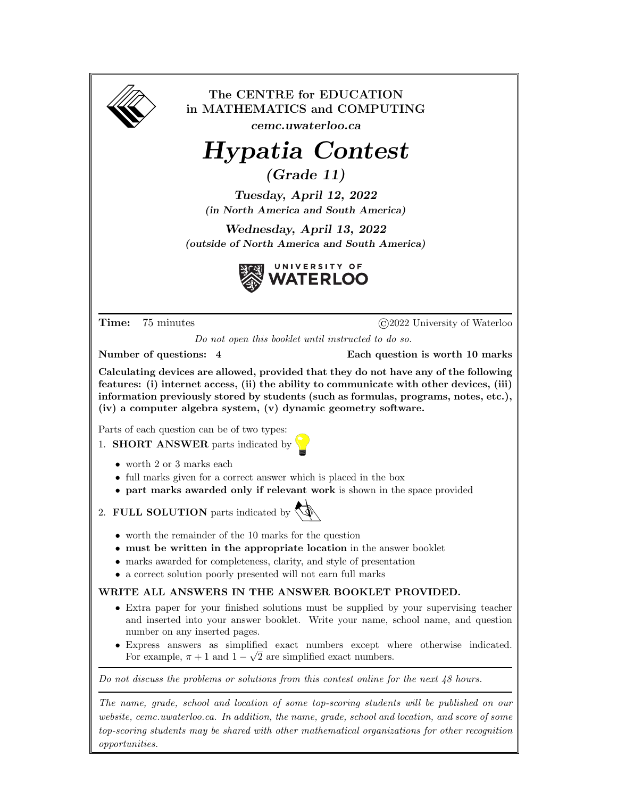

The CENTRE for EDUCATION in MATHEMATICS and COMPUTING

cemc.uwaterloo.ca

## Hypatia Contest

(Grade 11)

Tuesday, April 12, 2022 (in North America and South America)

Wednesday, April 13, 2022 (outside of North America and South America)



Time: 75 minutes  $\bigcirc$  2022 University of Waterloo

Do not open this booklet until instructed to do so.

Number of questions: 4 Each question is worth 10 marks

Calculating devices are allowed, provided that they do not have any of the following features: (i) internet access, (ii) the ability to communicate with other devices, (iii) information previously stored by students (such as formulas, programs, notes, etc.), (iv) a computer algebra system, (v) dynamic geometry software.

Parts of each question can be of two types:

- 1. **SHORT ANSWER** parts indicated by  $\sqrt{\phantom{a}}$ 
	- $\bullet\,$  worth 2 or 3 marks each
	- full marks given for a correct answer which is placed in the box
	- part marks awarded only if relevant work is shown in the space provided

2. FULL SOLUTION parts indicated by  $\mathbb{Q}$ 

- 
- worth the remainder of the 10 marks for the question
- must be written in the appropriate location in the answer booklet
- marks awarded for completeness, clarity, and style of presentation
- a correct solution poorly presented will not earn full marks

## WRITE ALL ANSWERS IN THE ANSWER BOOKLET PROVIDED.

- Extra paper for your finished solutions must be supplied by your supervising teacher and inserted into your answer booklet. Write your name, school name, and question number on any inserted pages.
- Express answers as simplified exact numbers except where otherwise indicated. √ For example,  $\pi + 1$  and  $1 - \sqrt{2}$  are simplified exact numbers.

Do not discuss the problems or solutions from this contest online for the next 48 hours.

The name, grade, school and location of some top-scoring students will be published on our website, cemc.uwaterloo.ca. In addition, the name, grade, school and location, and score of some top-scoring students may be shared with other mathematical organizations for other recognition opportunities.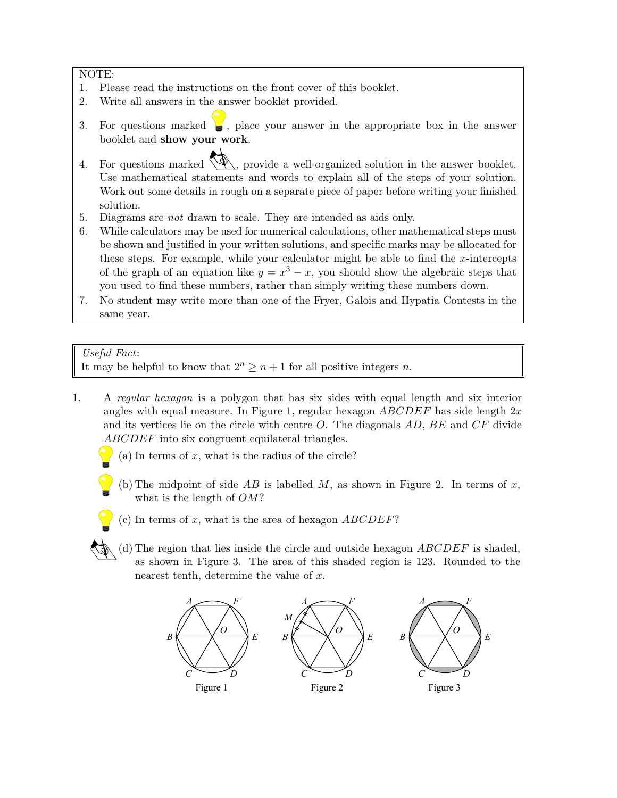NOTE:

- 1. Please read the instructions on the front cover of this booklet.
- 2. Write all answers in the answer booklet provided.
- 3. For questions marked  $\Box$ , place your answer in the appropriate box in the answer booklet and show your work.
- 4. For questions marked  $\mathcal{A}$ , provide a well-organized solution in the answer booklet. Use mathematical statements and words to explain all of the steps of your solution. Work out some details in rough on a separate piece of paper before writing your finished solution.
- 5. Diagrams are not drawn to scale. They are intended as aids only.
- 6. While calculators may be used for numerical calculations, other mathematical steps must be shown and justified in your written solutions, and specific marks may be allocated for these steps. For example, while your calculator might be able to find the  $x$ -intercepts of the graph of an equation like  $y = x^3 - x$ , you should show the algebraic steps that you used to find these numbers, rather than simply writing these numbers down.
- 7. No student may write more than one of the Fryer, Galois and Hypatia Contests in the same year.

## Useful Fact:

It may be helpful to know that  $2^n \geq n+1$  for all positive integers n.

- 1. A regular hexagon is a polygon that has six sides with equal length and six interior angles with equal measure. In Figure 1, regular hexagon  $ABCDEF$  has side length  $2x$ and its vertices lie on the circle with centre  $O$ . The diagonals  $AD$ ,  $BE$  and  $CF$  divide ABCDEF into six congruent equilateral triangles.
	- (a) In terms of  $x$ , what is the radius of the circle?
	- (b) The midpoint of side  $AB$  is labelled  $M$ , as shown in Figure 2. In terms of  $x$ , what is the length of  $OM$ ?
	- (c) In terms of  $x$ , what is the area of hexagon  $ABCDEF$ ?
	- (d) The region that lies inside the circle and outside hexagon  $ABCDEF$  is shaded, as shown in Figure 3. The area of this shaded region is 123. Rounded to the nearest tenth, determine the value of  $x$ .

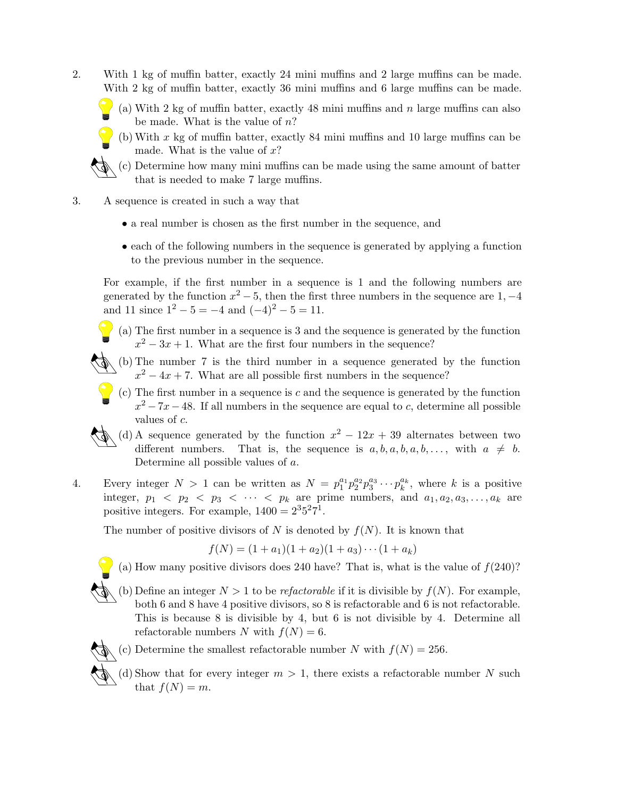2. With 1 kg of muffin batter, exactly 24 mini muffins and 2 large muffins can be made. With 2 kg of muffin batter, exactly 36 mini muffins and 6 large muffins can be made.

(a) With 2 kg of muffin batter, exactly 48 mini muffins and  $n$  large muffins can also be made. What is the value of  $n$ ?

(b) With  $x$  kg of muffin batter, exactly 84 mini muffins and 10 large muffins can be made. What is the value of  $x$ ?



- 3. A sequence is created in such a way that
	- a real number is chosen as the first number in the sequence, and
	- each of the following numbers in the sequence is generated by applying a function to the previous number in the sequence.

For example, if the first number in a sequence is 1 and the following numbers are generated by the function  $x^2 - 5$ , then the first three numbers in the sequence are 1, -4 and 11 since  $1^2 - 5 = -4$  and  $(-4)^2 - 5 = 11$ .

- (a) The first number in a sequence is 3 and the sequence is generated by the function  $x^2 - 3x + 1$ . What are the first four numbers in the sequence?
- $\wedge$  (b) The number 7 is the third number in a sequence generated by the function  $x^2 - 4x + 7$ . What are all possible first numbers in the sequence?
- $(c)$  The first number in a sequence is c and the sequence is generated by the function  $x^2 - 7x - 48$ . If all numbers in the sequence are equal to c, determine all possible values of c.
- (d) A sequence generated by the function  $x^2 12x + 39$  alternates between two different numbers. That is, the sequence is  $a, b, a, b, a, b, \ldots$ , with  $a \neq b$ . Determine all possible values of a.
- 4. Every integer  $N > 1$  can be written as  $N = p_1^{a_1} p_2^{a_2} p_3^{a_3} \cdots p_k^{a_k}$ , where k is a positive integer,  $p_1 < p_2 < p_3 < \cdots < p_k$  are prime numbers, and  $a_1, a_2, a_3, \ldots, a_k$  are positive integers. For example,  $1400 = 2^35^27^1$ .

The number of positive divisors of N is denoted by  $f(N)$ . It is known that

$$
f(N) = (1 + a_1)(1 + a_2)(1 + a_3) \cdots (1 + a_k)
$$



(a) How many positive divisors does 240 have? That is, what is the value of  $f(240)$ ?

(b) Define an integer  $N > 1$  to be *refactorable* if it is divisible by  $f(N)$ . For example, both 6 and 8 have 4 positive divisors, so 8 is refactorable and 6 is not refactorable. This is because 8 is divisible by 4, but 6 is not divisible by 4. Determine all refactorable numbers N with  $f(N) = 6$ .



- (c) Determine the smallest refactorable number N with  $f(N) = 256$ .
- (d) Show that for every integer  $m > 1$ , there exists a refactorable number N such that  $f(N) = m$ .